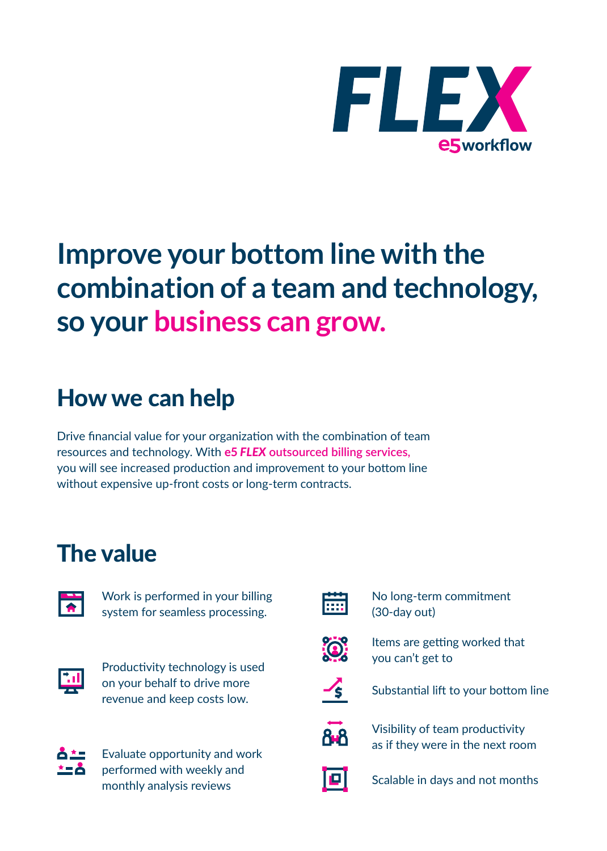

## **Improve your bottom line with the combination of a team and technology, so your business can grow.**

### How we can help

Drive financial value for your organization with the combination of team resources and technology. With **e5** *FLEX* **outsourced billing services,**  you will see increased production and improvement to your bottom line without expensive up-front costs or long-term contracts.

### The value



Work is performed in your billing system for seamless processing.



Productivity technology is used on your behalf to drive more revenue and keep costs low.



Evaluate opportunity and work performed with weekly and monthly analysis reviews



No long-term commitment (30-day out)



Items are getting worked that you can't get to



Substantial lift to your bottom line



Visibility of team productivity as if they were in the next room



Scalable in days and not months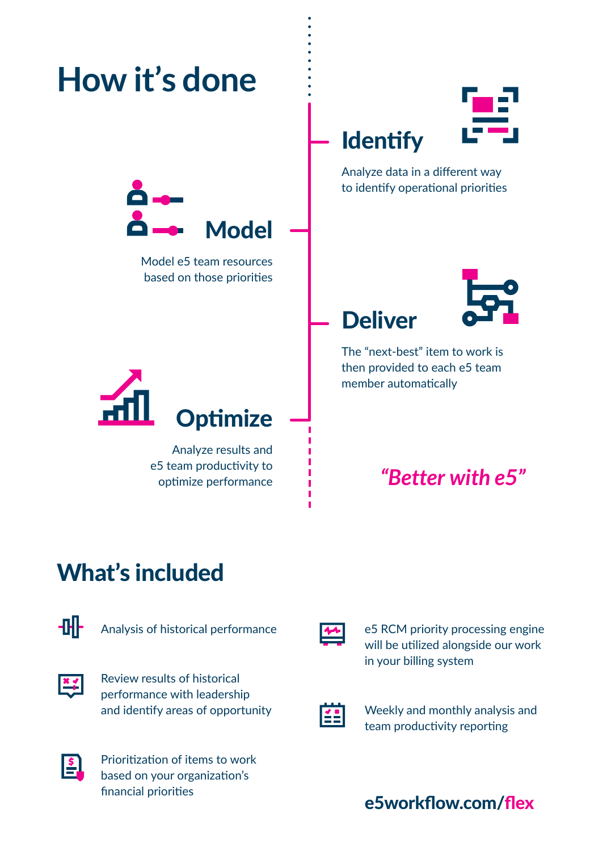

### What's included

![](_page_1_Picture_2.jpeg)

Analysis of historical performance

Review results of historical E performance with leadership and identify areas of opportunity

![](_page_1_Picture_5.jpeg)

Prioritization of items to work based on your organization's financial priorities

![](_page_1_Picture_7.jpeg)

e5 RCM priority processing engine will be utilized alongside our work in your billing system

![](_page_1_Picture_9.jpeg)

Weekly and monthly analysis and team productivity reporting

#### e5workflow.com/flex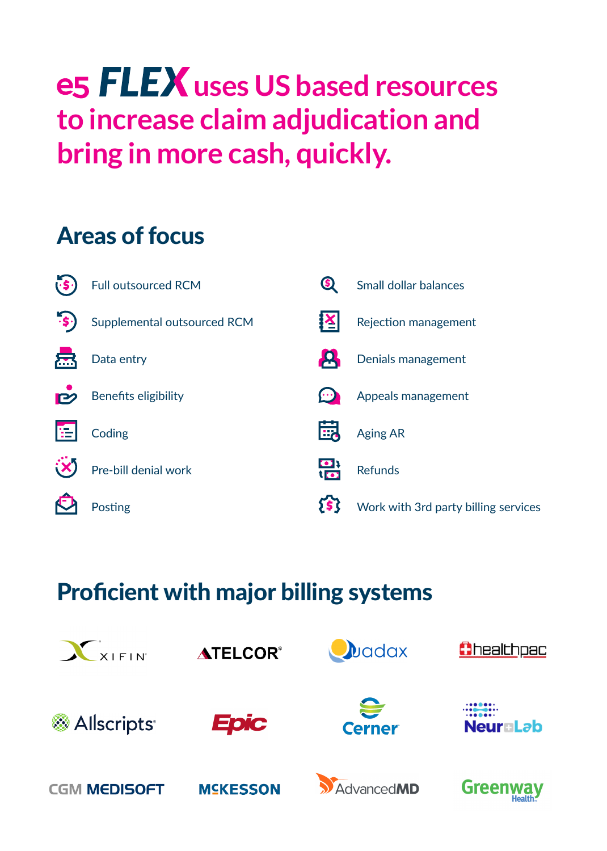## **e5 FLEX** uses US based resources **to increase claim adjudication and bring in more cash, quickly.**

### Areas of focus

![](_page_2_Figure_2.jpeg)

### Proficient with major billing systems

![](_page_2_Picture_4.jpeg)